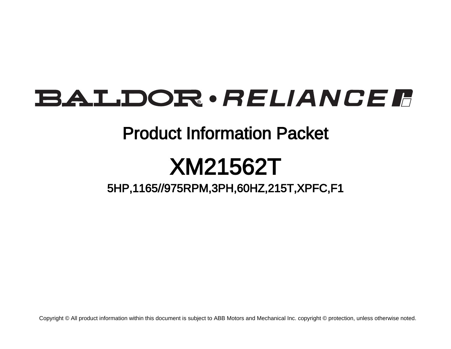# **BALDOR** · RELIANCE F

## Product Information Packet

# XM21562T

5HP,1165//975RPM,3PH,60HZ,215T,XPFC,F1

Copyright © All product information within this document is subject to ABB Motors and Mechanical Inc. copyright © protection, unless otherwise noted.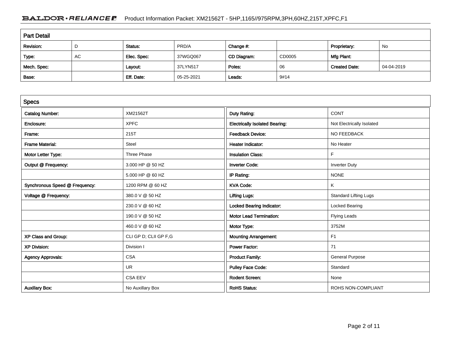### BALDOR · RELIANCE F Product Information Packet: XM21562T - 5HP,1165//975RPM,3PH,60HZ,215T,XPFC,F1

| <b>Part Detail</b> |    |             |            |             |        |                      |            |  |
|--------------------|----|-------------|------------|-------------|--------|----------------------|------------|--|
| Revision:          | D  | Status:     | PRD/A      | Change #:   |        | Proprietary:         | No         |  |
| Type:              | AC | Elec. Spec: | 37WGQ067   | CD Diagram: | CD0005 | Mfg Plant:           |            |  |
| Mech. Spec:        |    | Layout:     | 37LYN517   | Poles:      | 06     | <b>Created Date:</b> | 04-04-2019 |  |
| Base:              |    | Eff. Date:  | 05-25-2021 | Leads:      | 9#14   |                      |            |  |

| <b>Specs</b>                   |                       |                                       |                              |
|--------------------------------|-----------------------|---------------------------------------|------------------------------|
| <b>Catalog Number:</b>         | XM21562T              | Duty Rating:                          | <b>CONT</b>                  |
| Enclosure:                     | <b>XPFC</b>           | <b>Electrically Isolated Bearing:</b> | Not Electrically Isolated    |
| Frame:                         | 215T                  | <b>Feedback Device:</b>               | NO FEEDBACK                  |
| <b>Frame Material:</b>         | <b>Steel</b>          | <b>Heater Indicator:</b>              | No Heater                    |
| Motor Letter Type:             | <b>Three Phase</b>    | <b>Insulation Class:</b>              | F                            |
| Output @ Frequency:            | 3.000 HP @ 50 HZ      | <b>Inverter Code:</b>                 | <b>Inverter Duty</b>         |
|                                | 5.000 HP @ 60 HZ      | IP Rating:                            | <b>NONE</b>                  |
| Synchronous Speed @ Frequency: | 1200 RPM @ 60 HZ      | <b>KVA Code:</b>                      | K                            |
| Voltage @ Frequency:           | 380.0 V @ 50 HZ       | <b>Lifting Lugs:</b>                  | <b>Standard Lifting Lugs</b> |
|                                | 230.0 V @ 60 HZ       | <b>Locked Bearing Indicator:</b>      | Locked Bearing               |
|                                | 190.0 V @ 50 HZ       | <b>Motor Lead Termination:</b>        | <b>Flying Leads</b>          |
|                                | 460.0 V @ 60 HZ       | Motor Type:                           | 3752M                        |
| XP Class and Group:            | CLI GP D; CLII GP F,G | <b>Mounting Arrangement:</b>          | F <sub>1</sub>               |
| <b>XP Division:</b>            | Division I            | <b>Power Factor:</b>                  | 71                           |
| <b>Agency Approvals:</b>       | <b>CSA</b>            | <b>Product Family:</b>                | <b>General Purpose</b>       |
|                                | <b>UR</b>             | <b>Pulley Face Code:</b>              | Standard                     |
|                                | <b>CSA EEV</b>        | <b>Rodent Screen:</b>                 | None                         |
| <b>Auxillary Box:</b>          | No Auxillary Box      | <b>RoHS Status:</b>                   | ROHS NON-COMPLIANT           |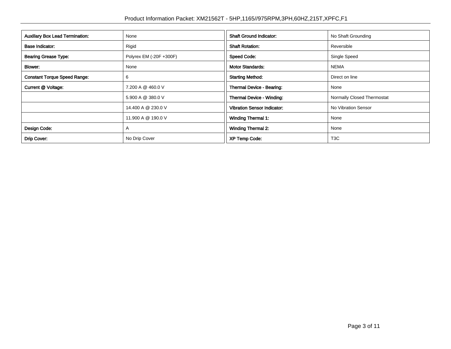| <b>Auxillary Box Lead Termination:</b> | None                    | <b>Shaft Ground Indicator:</b>     | No Shaft Grounding         |
|----------------------------------------|-------------------------|------------------------------------|----------------------------|
| <b>Base Indicator:</b>                 | Rigid                   | <b>Shaft Rotation:</b>             | Reversible                 |
| <b>Bearing Grease Type:</b>            | Polyrex EM (-20F +300F) | <b>Speed Code:</b>                 | Single Speed               |
| Blower:                                | None                    | <b>Motor Standards:</b>            | <b>NEMA</b>                |
| <b>Constant Torque Speed Range:</b>    | 6                       | <b>Starting Method:</b>            | Direct on line             |
| Current @ Voltage:                     | 7.200 A @ 460.0 V       | Thermal Device - Bearing:          | None                       |
|                                        | 5.900 A @ 380.0 V       | Thermal Device - Winding:          | Normally Closed Thermostat |
|                                        | 14.400 A @ 230.0 V      | <b>Vibration Sensor Indicator:</b> | No Vibration Sensor        |
|                                        | 11.900 A @ 190.0 V      | <b>Winding Thermal 1:</b>          | None                       |
| Design Code:                           | A                       | <b>Winding Thermal 2:</b>          | None                       |
| Drip Cover:                            | No Drip Cover           | <b>XP Temp Code:</b>               | T <sub>3</sub> C           |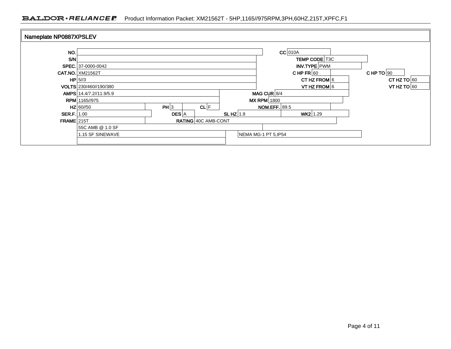### BALDOR · RELIANCE F Product Information Packet: XM21562T - 5HP,1165//975RPM,3PH,60HZ,215T,XPFC,F1

| Nameplate NP0887XPSLEV |                         |              |                            |                      |                                 |                      |  |               |
|------------------------|-------------------------|--------------|----------------------------|----------------------|---------------------------------|----------------------|--|---------------|
| NO.                    |                         |              |                            |                      |                                 | $CC$ 010A            |  |               |
| SM                     |                         |              |                            |                      |                                 | <b>TEMP CODE T3C</b> |  |               |
|                        | SPEC. 37-0000-0042      |              |                            |                      |                                 | INV.TYPE PWM         |  |               |
|                        | <b>CAT.NO. XM21562T</b> |              |                            |                      | CHP TO $90$<br>CHP FR $60$      |                      |  |               |
|                        | HP 5/3                  |              |                            |                      | CT HZ FROM $6$<br>CT HZ TO $60$ |                      |  |               |
|                        | VOLTS 230/460//190/380  |              |                            |                      |                                 | VT HZ FROM 6         |  | VT HZ TO $60$ |
|                        | AMPS 14.4/7.2//11.9/5.9 |              |                            |                      | MAG CUR $ 8/4$                  |                      |  |               |
|                        | <b>RPM</b> 1165//975    |              |                            |                      | <b>MX RPM</b> 1800              |                      |  |               |
|                        | $HZ$ 60//50             | PH 3         | CL F                       |                      | <b>NOM.EFF.</b> 89.5            |                      |  |               |
| SER.F. 1.00            |                         | <b>DES</b> A |                            | SLHZ $1.8$           |                                 | $WK2$ 1.29           |  |               |
| <b>FRAME 215T</b>      |                         |              | <b>RATING 40C AMB-CONT</b> |                      |                                 |                      |  |               |
|                        | 55C AMB @ 1.0 SF        |              |                            |                      |                                 |                      |  |               |
|                        | 1.15 SF SINEWAVE        |              |                            | NEMA MG-1 PT 5, IP54 |                                 |                      |  |               |
|                        |                         |              |                            |                      |                                 |                      |  |               |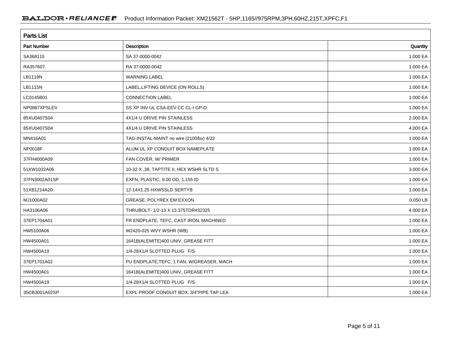| <b>Parts List</b>  |                                           |          |  |  |  |  |
|--------------------|-------------------------------------------|----------|--|--|--|--|
| <b>Part Number</b> | Description                               | Quantity |  |  |  |  |
| SA368115           | SA 37-0000-0042                           | 1.000 EA |  |  |  |  |
| RA357607           | RA 37-0000-0042                           | 1.000 EA |  |  |  |  |
| LB1119N            | <b>WARNING LABEL</b>                      | 1.000 EA |  |  |  |  |
| LB1115N            | LABEL, LIFTING DEVICE (ON ROLLS)          | 1.000 EA |  |  |  |  |
| LC0145B01          | <b>CONNECTION LABEL</b>                   | 1.000 EA |  |  |  |  |
| NP0887XPSLEV       | SS XP INV UL CSA-EEV CC CL-I GP-D         | 1.000 EA |  |  |  |  |
| 85XU0407S04        | 4X1/4 U DRIVE PIN STAINLESS               | 2.000 EA |  |  |  |  |
| 85XU0407S04        | 4X1/4 U DRIVE PIN STAINLESS               | 4.000 EA |  |  |  |  |
| MN416A01           | TAG-INSTAL-MAINT no wire (2100/bx) 4/22   | 1.000 EA |  |  |  |  |
| <b>NP0018F</b>     | ALUM UL XP CONDUIT BOX NAMEPLATE          | 1.000 EA |  |  |  |  |
| 37FH4000A09        | FAN COVER, W/ PRIMER                      | 1.000 EA |  |  |  |  |
| 51XW1032A06        | 10-32 X .38, TAPTITE II, HEX WSHR SLTD S  | 3.000 EA |  |  |  |  |
| 37FN3002A01SP      | EXFN, PLASTIC, 9.00 OD, 1.155 ID          | 1.000 EA |  |  |  |  |
| 51XB1214A20        | 12-14X1.25 HXWSSLD SERTYB                 | 1.000 EA |  |  |  |  |
| MJ1000A02          | GREASE, POLYREX EM EXXON                  | 0.050 LB |  |  |  |  |
| HA3106A06          | THRUBOLT- 1/2-13 X 13.375TDR#32325        | 4.000 EA |  |  |  |  |
| 37EP1704A01        | FR ENDPLATE, TEFC, CAST IRON, MACHINED    | 1.000 EA |  |  |  |  |
| HW5100A06          | W2420-025 WVY WSHR (WB)                   | 1.000 EA |  |  |  |  |
| HW4500A01          | 1641B(ALEMITE)400 UNIV, GREASE FITT       | 1.000 EA |  |  |  |  |
| HW4500A19          | 1/4-28X1/4 SLOTTED PLUG F/S               | 1.000 EA |  |  |  |  |
| 37EP1701A02        | PU ENDPLATE, TEFC, 1 FAN, W/GREASER, MACH | 1.000 EA |  |  |  |  |
| HW4500A01          | 1641B(ALEMITE)400 UNIV, GREASE FITT       | 1.000 EA |  |  |  |  |
| HW4500A19          | 1/4-28X1/4 SLOTTED PLUG F/S               | 1.000 EA |  |  |  |  |
| 35CB3001A02SP      | EXPL PROOF CONDUIT BOX, 3/4"PIPE TAP LEA  | 1.000 EA |  |  |  |  |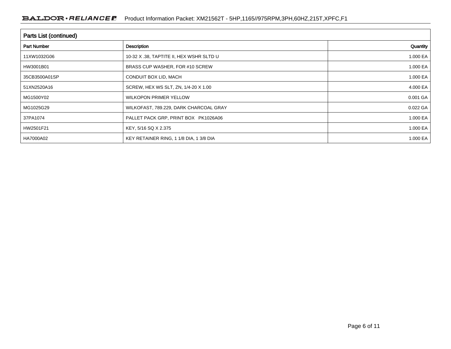| Parts List (continued) |                                          |          |  |  |  |  |
|------------------------|------------------------------------------|----------|--|--|--|--|
| <b>Part Number</b>     | Description                              | Quantity |  |  |  |  |
| 11XW1032G06            | 10-32 X .38, TAPTITE II, HEX WSHR SLTD U | 1.000 EA |  |  |  |  |
| HW3001B01              | BRASS CUP WASHER, FOR #10 SCREW          | 1.000 EA |  |  |  |  |
| 35CB3500A01SP          | CONDUIT BOX LID, MACH                    | 1.000 EA |  |  |  |  |
| 51XN2520A16            | SCREW, HEX WS SLT, ZN, 1/4-20 X 1.00     | 4.000 EA |  |  |  |  |
| MG1500Y02              | <b>WILKOPON PRIMER YELLOW</b>            | 0.001 GA |  |  |  |  |
| MG1025G29              | WILKOFAST, 789.229, DARK CHARCOAL GRAY   | 0.022 GA |  |  |  |  |
| 37PA1074               | PALLET PACK GRP, PRINT BOX PK1026A06     | 1.000 EA |  |  |  |  |
| HW2501F21              | KEY, 5/16 SQ X 2.375                     | 1.000 EA |  |  |  |  |
| HA7000A02              | KEY RETAINER RING, 1 1/8 DIA, 1 3/8 DIA  | 1.000 EA |  |  |  |  |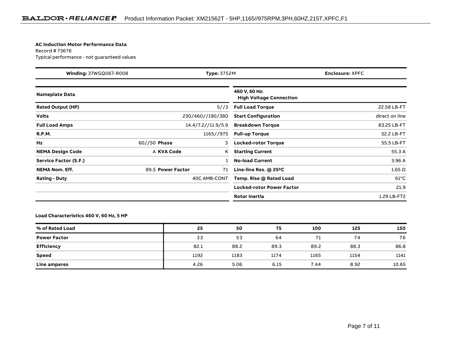#### **AC Induction Motor Performance Data**

Record # 73678Typical performance - not guaranteed values

| <b>Winding: 37WGQ067-R008</b> |                   | <b>Type: 3752M</b>                            |                                                 | <b>Enclosure: XPFC</b> |  |
|-------------------------------|-------------------|-----------------------------------------------|-------------------------------------------------|------------------------|--|
| <b>Nameplate Data</b>         |                   |                                               | 460 V, 60 Hz:<br><b>High Voltage Connection</b> |                        |  |
| <b>Rated Output (HP)</b>      |                   | 5//3                                          | <b>Full Load Torque</b>                         | 22.58 LB-FT            |  |
| <b>Volts</b>                  |                   | 230/460//190/380                              | <b>Start Configuration</b>                      | direct on line         |  |
| <b>Full Load Amps</b>         |                   | 14.4/7.2//11.9/5.9<br><b>Breakdown Torque</b> |                                                 | 83.25 LB-FT            |  |
| <b>R.P.M.</b>                 |                   | 1165//975                                     | <b>Pull-up Torque</b>                           | 52.2 LB-FT             |  |
| Hz                            | $60//50$ Phase    | 3                                             | <b>Locked-rotor Torque</b>                      | 55.5 LB-FT             |  |
| <b>NEMA Design Code</b>       | A KVA Code        | K                                             | <b>Starting Current</b>                         | 55.3 A                 |  |
| Service Factor (S.F.)         |                   |                                               | <b>No-load Current</b>                          | 3.96 A                 |  |
| <b>NEMA Nom. Eff.</b>         | 89.5 Power Factor | 71                                            | Line-line Res. @ 25°C                           | $1.65 \Omega$          |  |
| <b>Rating - Duty</b>          |                   | 40C AMB-CONT                                  |                                                 | $61^{\circ}$ C         |  |
|                               |                   |                                               | Locked-rotor Power Factor                       | 21.9                   |  |
|                               |                   |                                               | Rotor inertia                                   | 1.29 LB-FT2            |  |

#### **Load Characteristics 460 V, 60 Hz, 5 HP**

| % of Rated Load     | 25   | 50   | 75   | 100  | 125  | 150   |
|---------------------|------|------|------|------|------|-------|
| <b>Power Factor</b> | 33   | 53   | 64   |      | 74   | 76    |
| <b>Efficiency</b>   | 82.1 | 88.2 | 89.3 | 89.2 | 88.3 | 86.8  |
| <b>Speed</b>        | 1192 | 1183 | 1174 | 1165 | 1154 | 1141  |
| Line amperes        | 4.26 | 5.06 | 6.15 | 7.44 | 8.92 | 10.65 |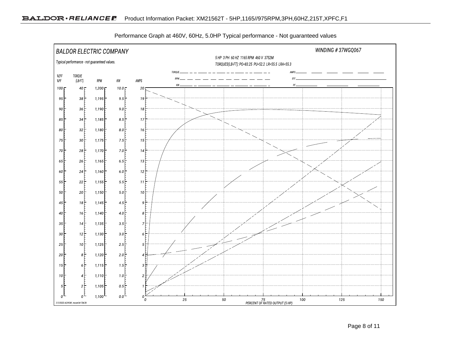

Performance Graph at 460V, 60Hz, 5.0HP Typical performance - Not guaranteed values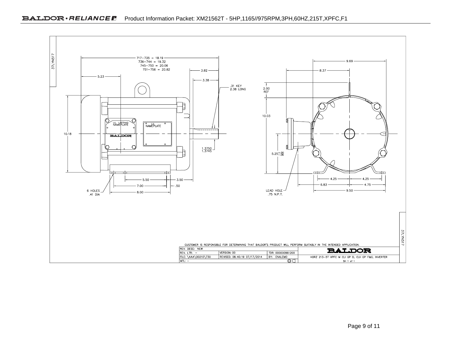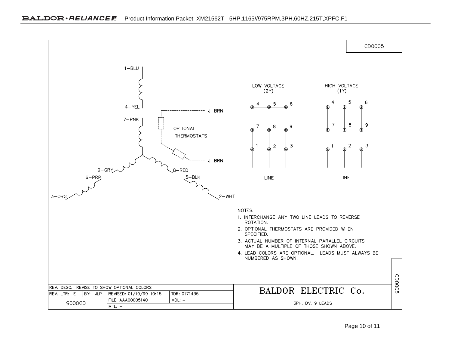